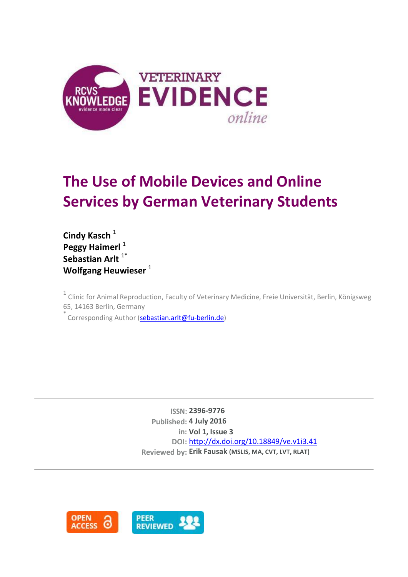

# **The Use of Mobile Devices and Online Services by German Veterinary Students**

**Cindy Kasch<sup>1</sup>** Peggy Haimerl<sup>1</sup> **Sebastian Arlt**<sup>1\*</sup> **Wolfgang Heuwieser** <sup>1</sup>

<sup>1</sup> Clinic for Animal Reproduction, Faculty of Veterinary Medicine, Freie Universität, Berlin, Königsweg 65, 14163 Berlin, Germany

Corresponding Author [\(sebastian.arlt@fu-berlin.de\)](mailto:sebastian.arlt@fu-berlin.de)

**ISSN: 2396-9776 Published: 4 July 2016 in: Vol 1, Issue 3 DOI:** <http://dx.doi.org/10.18849/ve.v1i3.41> **Reviewed by: Erik Fausak (MSLIS, MA, CVT, LVT, RLAT)**

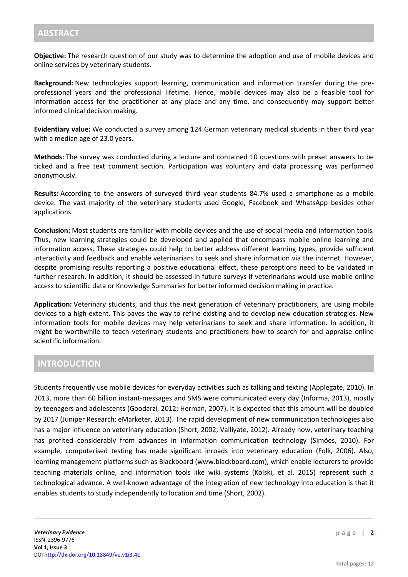**Objective:** The research question of our study was to determine the adoption and use of mobile devices and online services by veterinary students.

**Background:** New technologies support learning, communication and information transfer during the preprofessional years and the professional lifetime. Hence, mobile devices may also be a feasible tool for information access for the practitioner at any place and any time, and consequently may support better informed clinical decision making.

**Evidentiary value:** We conducted a survey among 124 German veterinary medical students in their third year with a median age of 23.0 years.

**Methods:** The survey was conducted during a lecture and contained 10 questions with preset answers to be ticked and a free text comment section. Participation was voluntary and data processing was performed anonymously.

**Results:** According to the answers of surveyed third year students 84.7% used a smartphone as a mobile device. The vast majority of the veterinary students used Google, Facebook and WhatsApp besides other applications.

**Conclusion:** Most students are familiar with mobile devices and the use of social media and information tools. Thus, new learning strategies could be developed and applied that encompass mobile online learning and information access. These strategies could help to better address different learning types, provide sufficient interactivity and feedback and enable veterinarians to seek and share information via the internet. However, despite promising results reporting a positive educational effect, these perceptions need to be validated in further research. In addition, it should be assessed in future surveys if veterinarians would use mobile online access to scientific data or Knowledge Summaries for better informed decision making in practice.

**Application:** Veterinary students, and thus the next generation of veterinary practitioners, are using mobile devices to a high extent. This paves the way to refine existing and to develop new education strategies. New information tools for mobile devices may help veterinarians to seek and share information. In addition, it might be worthwhile to teach veterinary students and practitioners how to search for and appraise online scientific information.

### **INTRODUCTION**

Students frequently use mobile devices for everyday activities such as talking and texting (Applegate, 2010). In 2013, more than 60 billion instant-messages and SMS were communicated every day (Informa, 2013), mostly by teenagers and adolescents (Goodarzi, 2012; Herman, 2007). It is expected that this amount will be doubled by 2017 (Juniper Research; eMarketer, 2013). The rapid development of new communication technologies also has a major influence on veterinary education (Short, 2002; Valliyate, 2012). Already now, veterinary teaching has profited considerably from advances in information communication technology (Simões, 2010). For example, computerised testing has made significant inroads into veterinary education (Folk, 2006). Also, learning management platforms such as Blackboard (www.blackboard.com), which enable lecturers to provide teaching materials online, and information tools like wiki systems (Kolski, et al. 2015) represent such a technological advance. A well-known advantage of the integration of new technology into education is that it enables students to study independently to location and time (Short, 2002).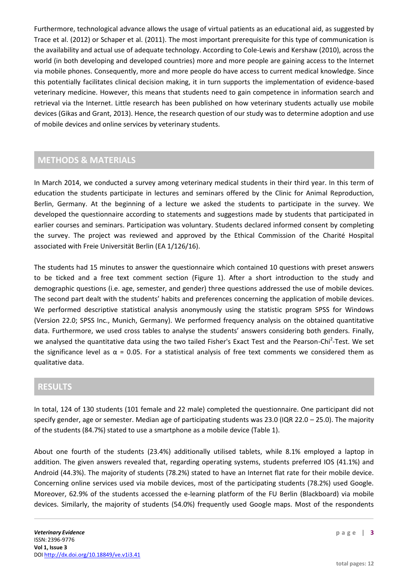Furthermore, technological advance allows the usage of virtual patients as an educational aid, as suggested by Trace et al. (2012) or Schaper et al. (2011). The most important prerequisite for this type of communication is the availability and actual use of adequate technology. According to Cole-Lewis and Kershaw (2010), across the world (in both developing and developed countries) more and more people are gaining access to the Internet via mobile phones. Consequently, more and more people do have access to current medical knowledge. Since this potentially facilitates clinical decision making, it in turn supports the implementation of evidence-based veterinary medicine. However, this means that students need to gain competence in information search and retrieval via the Internet. Little research has been published on how veterinary students actually use mobile devices (Gikas and Grant, 2013). Hence, the research question of our study was to determine adoption and use of mobile devices and online services by veterinary students.

# **METHODS & MATERIALS**

In March 2014, we conducted a survey among veterinary medical students in their third year. In this term of education the students participate in lectures and seminars offered by the Clinic for Animal Reproduction, Berlin, Germany. At the beginning of a lecture we asked the students to participate in the survey. We developed the questionnaire according to statements and suggestions made by students that participated in earlier courses and seminars. Participation was voluntary. Students declared informed consent by completing the survey. The project was reviewed and approved by the Ethical Commission of the Charité Hospital associated with Freie Universität Berlin (EA 1/126/16).

The students had 15 minutes to answer the questionnaire which contained 10 questions with preset answers to be ticked and a free text comment section (Figure 1). After a short introduction to the study and demographic questions (i.e. age, semester, and gender) three questions addressed the use of mobile devices. The second part dealt with the students' habits and preferences concerning the application of mobile devices. We performed descriptive statistical analysis anonymously using the statistic program SPSS for Windows (Version 22.0; SPSS Inc., Munich, Germany). We performed frequency analysis on the obtained quantitative data. Furthermore, we used cross tables to analyse the students' answers considering both genders. Finally, we analysed the quantitative data using the two tailed Fisher's Exact Test and the Pearson-Chi<sup>2</sup>-Test. We set the significance level as  $\alpha$  = 0.05. For a statistical analysis of free text comments we considered them as qualitative data.

## **RESULTS**

In total, 124 of 130 students (101 female and 22 male) completed the questionnaire. One participant did not specify gender, age or semester. Median age of participating students was 23.0 (IQR 22.0 – 25.0). The majority of the students (84.7%) stated to use a smartphone as a mobile device (Table 1).

About one fourth of the students (23.4%) additionally utilised tablets, while 8.1% employed a laptop in addition. The given answers revealed that, regarding operating systems, students preferred IOS (41.1%) and Android (44.3%). The majority of students (78.2%) stated to have an Internet flat rate for their mobile device. Concerning online services used via mobile devices, most of the participating students (78.2%) used Google. Moreover, 62.9% of the students accessed the e-learning platform of the FU Berlin (Blackboard) via mobile devices. Similarly, the majority of students (54.0%) frequently used Google maps. Most of the respondents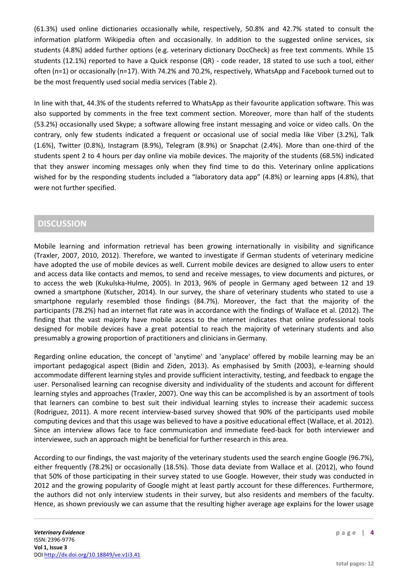(61.3%) used online dictionaries occasionally while, respectively, 50.8% and 42.7% stated to consult the information platform Wikipedia often and occasionally. In addition to the suggested online services, six students (4.8%) added further options (e.g. veterinary dictionary DocCheck) as free text comments. While 15 students (12.1%) reported to have a Quick response (QR) - code reader, 18 stated to use such a tool, either often (n=1) or occasionally (n=17). With 74.2% and 70.2%, respectively, WhatsApp and Facebook turned out to be the most frequently used social media services (Table 2).

In line with that, 44.3% of the students referred to WhatsApp as their favourite application software. This was also supported by comments in the free text comment section. Moreover, more than half of the students (53.2%) occasionally used Skype; a software allowing free instant messaging and voice or video calls. On the contrary, only few students indicated a frequent or occasional use of social media like Viber (3.2%), Talk (1.6%), Twitter (0.8%), Instagram (8.9%), Telegram (8.9%) or Snapchat (2.4%). More than one-third of the students spent 2 to 4 hours per day online via mobile devices. The majority of the students (68.5%) indicated that they answer incoming messages only when they find time to do this. Veterinary online applications wished for by the responding students included a "laboratory data app" (4.8%) or learning apps (4.8%), that were not further specified.

## **DISCUSSION**

Mobile learning and information retrieval has been growing internationally in visibility and significance (Traxler, 2007, 2010, 2012). Therefore, we wanted to investigate if German students of veterinary medicine have adopted the use of mobile devices as well. Current mobile devices are designed to allow users to enter and access data like contacts and memos, to send and receive messages, to view documents and pictures, or to access the web (Kukulska-Hulme, 2005). In 2013, 96% of people in Germany aged between 12 and 19 owned a smartphone (Kutscher, 2014). In our survey, the share of veterinary students who stated to use a smartphone regularly resembled those findings (84.7%). Moreover, the fact that the majority of the participants (78.2%) had an internet flat rate was in accordance with the findings of Wallace et al. (2012). The finding that the vast majority have mobile access to the internet indicates that online professional tools designed for mobile devices have a great potential to reach the majority of veterinary students and also presumably a growing proportion of practitioners and clinicians in Germany.

Regarding online education, the concept of 'anytime' and 'anyplace' offered by mobile learning may be an important pedagogical aspect (Bidin and Ziden, 2013). As emphasised by Smith (2003), e-learning should accommodate different learning styles and provide sufficient interactivity, testing, and feedback to engage the user. Personalised learning can recognise diversity and individuality of the students and account for different learning styles and approaches (Traxler, 2007). One way this can be accomplished is by an assortment of tools that learners can combine to best suit their individual learning styles to increase their academic success (Rodriguez, 2011). A more recent interview-based survey showed that 90% of the participants used mobile computing devices and that this usage was believed to have a positive educational effect (Wallace, et al. 2012). Since an interview allows face to face communication and immediate feed-back for both interviewer and interviewee, such an approach might be beneficial for further research in this area.

According to our findings, the vast majority of the veterinary students used the search engine Google (96.7%), either frequently (78.2%) or occasionally (18.5%). Those data deviate from Wallace et al. (2012), who found that 50% of those participating in their survey stated to use Google. However, their study was conducted in 2012 and the growing popularity of Google might at least partly account for these differences. Furthermore, the authors did not only interview students in their survey, but also residents and members of the faculty. Hence, as shown previously we can assume that the resulting higher average age explains for the lower usage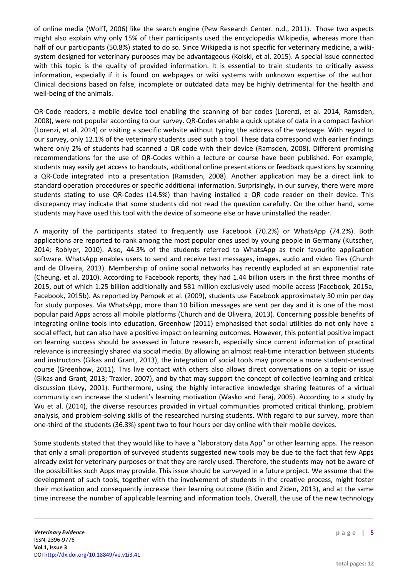of online media (Wolff, 2006) like the search engine (Pew Research Center. n.d., 2011). Those two aspects might also explain why only 15% of their participants used the encyclopedia Wikipedia, whereas more than half of our participants (50.8%) stated to do so. Since Wikipedia is not specific for veterinary medicine, a wikisystem designed for veterinary purposes may be advantageous (Kolski, et al. 2015). A special issue connected with this topic is the quality of provided information. It is essential to train students to critically assess information, especially if it is found on webpages or wiki systems with unknown expertise of the author. Clinical decisions based on false, incomplete or outdated data may be highly detrimental for the health and well-being of the animals.

QR-Code readers, a mobile device tool enabling the scanning of bar codes (Lorenzi, et al. 2014, Ramsden, 2008), were not popular according to our survey. QR-Codes enable a quick uptake of data in a compact fashion (Lorenzi, et al. 2014) or visiting a specific website without typing the address of the webpage. With regard to our survey, only 12.1% of the veterinary students used such a tool. These data correspond with earlier findings where only 2% of students had scanned a QR code with their device (Ramsden, 2008). Different promising recommendations for the use of QR-Codes within a lecture or course have been published. For example, students may easily get access to handouts, additional online presentations or feedback questions by scanning a QR-Code integrated into a presentation (Ramsden, 2008). Another application may be a direct link to standard operation procedures or specific additional information. Surprisingly, in our survey, there were more students stating to use QR-Codes (14.5%) than having installed a QR code reader on their device. This discrepancy may indicate that some students did not read the question carefully. On the other hand, some students may have used this tool with the device of someone else or have uninstalled the reader.

A majority of the participants stated to frequently use Facebook (70.2%) or WhatsApp (74.2%). Both applications are reported to rank among the most popular ones used by young people in Germany (Kutscher, 2014; Roblyer, 2010). Also, 44.3% of the students referred to WhatsApp as their favourite application software. WhatsApp enables users to send and receive text messages, images, audio and video files (Church and de Oliveira, 2013). Membership of online social networks has recently exploded at an exponential rate (Cheung, et al. 2010). According to Facebook reports, they had 1.44 billion users in the first three months of 2015, out of which 1.25 billion additionally and 581 million exclusively used mobile access (Facebook, 2015a, Facebook, 2015b). As reported by Pempek et al. (2009), students use Facebook approximately 30 min per day for study purposes. Via WhatsApp, more than 10 billion messages are sent per day and it is one of the most popular paid Apps across all mobile platforms (Church and de Oliveira, 2013). Concerning possible benefits of integrating online tools into education, Greenhow (2011) emphasised that social utilities do not only have a social effect, but can also have a positive impact on learning outcomes. However, this potential positive impact on learning success should be assessed in future research, especially since current information of practical relevance is increasingly shared via social media. By allowing an almost real-time interaction between students and instructors (Gikas and Grant, 2013), the integration of social tools may promote a more student-centred course (Greenhow, 2011). This live contact with others also allows direct conversations on a topic or issue (Gikas and Grant, 2013; Traxler, 2007), and by that may support the concept of collective learning and critical discussion (Levy, 2001). Furthermore, using the highly interactive knowledge sharing features of a virtual community can increase the student's learning motivation (Wasko and Faraj, 2005). According to a study by Wu et al. (2014), the diverse resources provided in virtual communities promoted critical thinking, problem analysis, and problem-solving skills of the researched nursing students. With regard to our survey, more than one-third of the students (36.3%) spent two to four hours per day online with their mobile devices.

Some students stated that they would like to have a "laboratory data App" or other learning apps. The reason that only a small proportion of surveyed students suggested new tools may be due to the fact that few Apps already exist for veterinary purposes or that they are rarely used. Therefore, the students may not be aware of the possibilities such Apps may provide. This issue should be surveyed in a future project. We assume that the development of such tools, together with the involvement of students in the creative process, might foster their motivation and consequently increase their learning outcome (Bidin and Ziden, 2013), and at the same time increase the number of applicable learning and information tools. Overall, the use of the new technology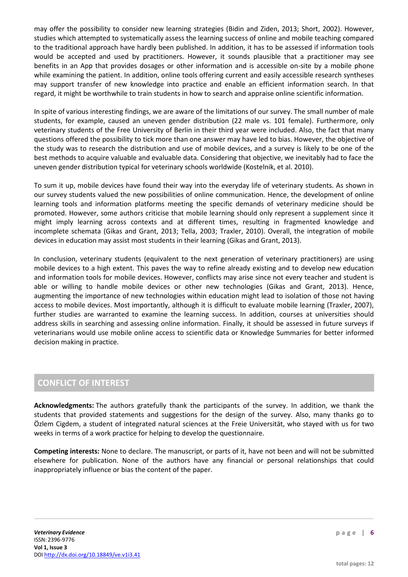may offer the possibility to consider new learning strategies (Bidin and Ziden, 2013; Short, 2002). However, studies which attempted to systematically assess the learning success of online and mobile teaching compared to the traditional approach have hardly been published. In addition, it has to be assessed if information tools would be accepted and used by practitioners. However, it sounds plausible that a practitioner may see benefits in an App that provides dosages or other information and is accessible on-site by a mobile phone while examining the patient. In addition, online tools offering current and easily accessible research syntheses may support transfer of new knowledge into practice and enable an efficient information search. In that regard, it might be worthwhile to train students in how to search and appraise online scientific information.

In spite of various interesting findings, we are aware of the limitations of our survey. The small number of male students, for example, caused an uneven gender distribution (22 male vs. 101 female). Furthermore, only veterinary students of the Free University of Berlin in their third year were included. Also, the fact that many questions offered the possibility to tick more than one answer may have led to bias. However, the objective of the study was to research the distribution and use of mobile devices, and a survey is likely to be one of the best methods to acquire valuable and evaluable data. Considering that objective, we inevitably had to face the uneven gender distribution typical for veterinary schools worldwide (Kostelnik, et al. 2010).

To sum it up, mobile devices have found their way into the everyday life of veterinary students. As shown in our survey students valued the new possibilities of online communication. Hence, the development of online learning tools and information platforms meeting the specific demands of veterinary medicine should be promoted. However, some authors criticise that mobile learning should only represent a supplement since it might imply learning across contexts and at different times, resulting in fragmented knowledge and incomplete schemata (Gikas and Grant, 2013; Tella, 2003; Traxler, 2010). Overall, the integration of mobile devices in education may assist most students in their learning (Gikas and Grant, 2013).

In conclusion, veterinary students (equivalent to the next generation of veterinary practitioners) are using mobile devices to a high extent. This paves the way to refine already existing and to develop new education and information tools for mobile devices. However, conflicts may arise since not every teacher and student is able or willing to handle mobile devices or other new technologies (Gikas and Grant, 2013). Hence, augmenting the importance of new technologies within education might lead to isolation of those not having access to mobile devices. Most importantly, although it is difficult to evaluate mobile learning (Traxler, 2007), further studies are warranted to examine the learning success. In addition, courses at universities should address skills in searching and assessing online information. Finally, it should be assessed in future surveys if veterinarians would use mobile online access to scientific data or Knowledge Summaries for better informed decision making in practice.

## **CONFLICT OF INTEREST**

**Acknowledgments:** The authors gratefully thank the participants of the survey. In addition, we thank the students that provided statements and suggestions for the design of the survey. Also, many thanks go to Özlem Cigdem, a student of integrated natural sciences at the Freie Universität, who stayed with us for two weeks in terms of a work practice for helping to develop the questionnaire.

**Competing interests:** None to declare. The manuscript, or parts of it, have not been and will not be submitted elsewhere for publication. None of the authors have any financial or personal relationships that could inappropriately influence or bias the content of the paper.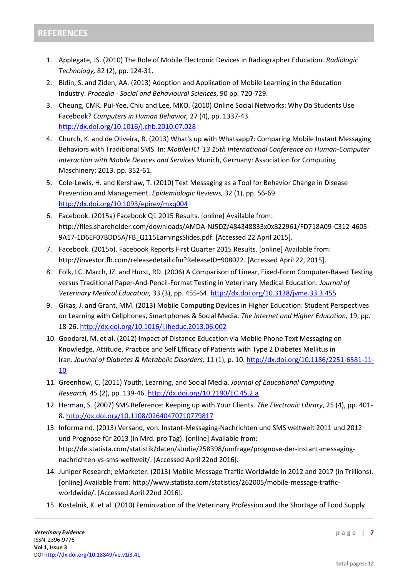- 1. Applegate, JS. (2010) The Role of Mobile Electronic Devices in Radiographer Education. *Radiologic Technology,* 82 (2), pp. 124-31.
- 2. Bidin, S. and Ziden, AA. (2013) Adoption and Application of Mobile Learning in the Education Industry. *Procedia - Social and Behavioural Sciences*, 90 pp. 720-729.
- 3. Cheung, CMK. Pui-Yee, Chiu and Lee, MKO. (2010) Online Social Networks: Why Do Students Use Facebook? *Computers in Human Behavior,* 27 (4), pp. 1337-43. <http://dx.doi.org/10.1016/j.chb.2010.07.028>
- 4. Church, K. and de Oliveira, R. (2013) What's up with Whatsapp?: Comparing Mobile Instant Messaging Behaviors with Traditional SMS. In: *MobileHCI '13 15th International Conference on Human-Computer Interaction with Mobile Devices and Services* Munich, Germany: Association for Computing Maschinery; 2013. pp. 352-61.
- 5. Cole-Lewis, H. and Kershaw, T. (2010) Text Messaging as a Tool for Behavior Change in Disease Prevention and Management. *Epidemiologic Reviews,* 32 (1), pp. 56-69. <http://dx.doi.org/10.1093/epirev/mxq004>
- 6. Facebook. (2015a) Facebook Q1 2015 Results. [online] Available from: http://files.shareholder.com/downloads/AMDA-NJ5DZ/484348833x0x822961/FD718A09-C312-4605- 9A17-1D6EF07BDD5A/FB\_Q115EarningsSlides.pdf. [Accessed 22 April 2015].
- 7. Facebook. (2015b). Facebook Reports First Quarter 2015 Results. [online] Available from: http://investor.fb.com/releasedetail.cfm?ReleaseID=908022. [Accessed April 22, 2015].
- 8. Folk, LC. March, JZ. and Hurst, RD. (2006) A Comparison of Linear, Fixed-Form Computer-Based Testing versus Traditional Paper-And-Pencil-Format Testing in Veterinary Medical Education. *Journal of Veterinary Medical Education,* 33 (3), pp. 455-64. <http://dx.doi.org/10.3138/jvme.33.3.455>
- 9. Gikas, J. and Grant, MM. (2013) Mobile Computing Devices in Higher Education: Student Perspectives on Learning with Cellphones, Smartphones & Social Media. *The Internet and Higher Education,* 19, pp. 18-26. <http://dx.doi.org/10.1016/j.iheduc.2013.06.002>
- 10. Goodarzi, M. et al. (2012) Impact of Distance Education via Mobile Phone Text Messaging on Knowledge, Attitude, Practice and Self Efficacy of Patients with Type 2 Diabetes Mellitus in Iran. *Journal of Diabetes & Metabolic Disorders,* 11 (1), p. 10. [http://dx.doi.org/10.1186/2251-6581-11-](http://dx.doi.org/10.1186/2251-6581-11-10) [10](http://dx.doi.org/10.1186/2251-6581-11-10)
- 11. Greenhow, C. (2011) Youth, Learning, and Social Media. *Journal of Educational Computing Research,* 45 (2), pp. 139-46. <http://dx.doi.org/10.2190/EC.45.2.a>
- 12. Herman, S. (2007) SMS Reference: Keeping up with Your Clients. *The Electronic Library*, 25 (4), pp. 401- 8. <http://dx.doi.org/10.1108/02640470710779817>
- 13. Informa nd. (2013) Versand, von. Instant-Messaging-Nachrichten und SMS weltweit 2011 und 2012 und Prognose für 2013 (in Mrd. pro Tag). [online] Available from: http://de.statista.com/statistik/daten/studie/258398/umfrage/prognose-der-instant-messagingnachrichten-vs-sms-weltweit/. [Accessed April 22nd 2016].
- 14. Juniper Research; eMarketer. (2013) Mobile Message Traffic Worldwide in 2012 and 2017 (in Trillions). [online] Available from: http://www.statista.com/statistics/262005/mobile-message-trafficworldwide/. [Accessed April 22nd 2016].
- 15. Kostelnik, K. et al. (2010) Feminization of the Veterinary Profession and the Shortage of Food Supply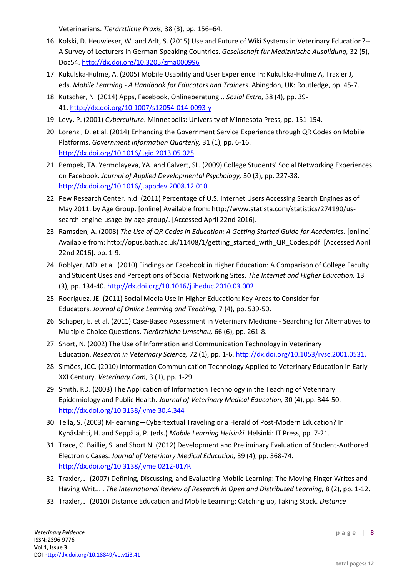Veterinarians. *Tierärztliche Praxis,* 38 (3), pp. 156–64.

- 16. Kolski, D. Heuwieser, W. and Arlt, S. (2015) Use and Future of Wiki Systems in Veterinary Education?-- A Survey of Lecturers in German-Speaking Countries. *Gesellschaft für Medizinische Ausbildung,* 32 (5), Doc54. <http://dx.doi.org/10.3205/zma000996>
- 17. Kukulska-Hulme, A. (2005) Mobile Usability and User Experience In: Kukulska-Hulme A, Traxler J, eds. *Mobile Learning - A Handbook for Educators and Trainers*. Abingdon, UK: Routledge, pp. 45-7.
- 18. Kutscher, N. (2014) Apps, Facebook, Onlineberatung... *Sozial Extra,* 38 (4), pp. 39- 41. <http://dx.doi.org/10.1007/s12054-014-0093-y>
- 19. Levy, P. (2001) *Cyberculture*. Minneapolis: University of Minnesota Press, pp. 151-154.
- 20. Lorenzi, D. et al. (2014) Enhancing the Government Service Experience through QR Codes on Mobile Platforms. *Government Information Quarterly,* 31 (1), pp. 6-16. <http://dx.doi.org/10.1016/j.giq.2013.05.025>
- 21. Pempek, TA. Yermolayeva, YA. and Calvert, SL. (2009) College Students' Social Networking Experiences on Facebook. *Journal of Applied Developmental Psychology,* 30 (3), pp. 227-38. <http://dx.doi.org/10.1016/j.appdev.2008.12.010>
- 22. Pew Research Center. n.d. (2011) Percentage of U.S. Internet Users Accessing Search Engines as of May 2011, by Age Group. [online] Available from: http://www.statista.com/statistics/274190/ussearch-engine-usage-by-age-group/. [Accessed April 22nd 2016].
- 23. Ramsden, A. (2008) *The Use of QR Codes in Education: A Getting Started Guide for Academics.* [online] Available from: http://opus.bath.ac.uk/11408/1/getting\_started\_with\_QR\_Codes.pdf. [Accessed April 22nd 2016]. pp. 1-9.
- 24. Roblyer, MD. et al. (2010) Findings on Facebook in Higher Education: A Comparison of College Faculty and Student Uses and Perceptions of Social Networking Sites. *The Internet and Higher Education,* 13 (3), pp. 134-40. <http://dx.doi.org/10.1016/j.iheduc.2010.03.002>
- 25. Rodriguez, JE. (2011) Social Media Use in Higher Education: Key Areas to Consider for Educators. *Journal of Online Learning and Teaching,* 7 (4), pp. 539-50.
- 26. Schaper, E. et al. (2011) Case-Based Assessment in Veterinary Medicine Searching for Alternatives to Multiple Choice Questions. *Tierärztliche Umschau,* 66 (6), pp. 261-8.
- 27. Short, N. (2002) The Use of Information and Communication Technology in Veterinary Education. *Research in Veterinary Science,* 72 (1), pp. 1-6. [http://dx.doi.org/10.1053/rvsc.2001.0531.](http://www.sciencedirect.com/science/article/pii/S0034528801905314)
- 28. Simões, JCC. (2010) Information Communication Technology Applied to Veterinary Education in Early XXI Century. *Veterinary.Com,* 3 (1), pp. 1-29.
- 29. Smith, RD. (2003) The Application of Information Technology in the Teaching of Veterinary Epidemiology and Public Health. *Journal of Veterinary Medical Education,* 30 (4), pp. 344-50. <http://dx.doi.org/10.3138/jvme.30.4.344>
- 30. Tella, S. (2003) M-learning—Cybertextual Traveling or a Herald of Post-Modern Education? In: Kynäslahti, H. and Seppälä, P. (eds.) *Mobile Learning Helsinki*. Helsinki: IT Press, pp. 7-21.
- 31. Trace, C. Baillie, S. and Short N. (2012) Development and Preliminary Evaluation of Student-Authored Electronic Cases. *Journal of Veterinary Medical Education,* 39 (4), pp. 368-74. <http://dx.doi.org/10.3138/jvme.0212-017R>
- 32. Traxler, J. (2007) Defining, Discussing, and Evaluating Mobile Learning: The Moving Finger Writes and Having Writ... . *The International Review of Research in Open and Distributed Learning,* 8 (2), pp. 1-12.
- 33. Traxler, J. (2010) Distance Education and Mobile Learning: Catching up, Taking Stock. *Distance*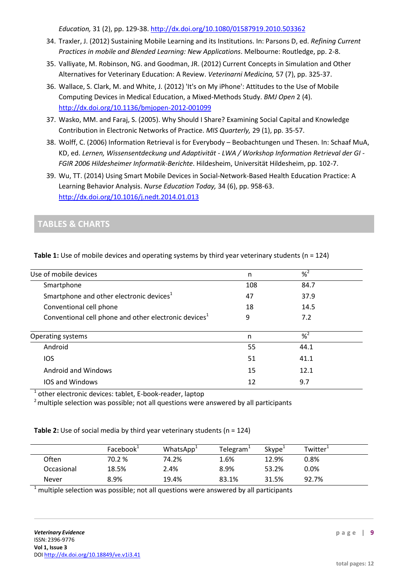*Education,* 31 (2), pp. 129-38. <http://dx.doi.org/10.1080/01587919.2010.503362>

- 34. Traxler, J. (2012) Sustaining Mobile Learning and its Institutions. In: Parsons D, ed. *Refining Current Practices in mobile and Blended Learning: New Applications*. Melbourne: Routledge, pp. 2-8.
- 35. Valliyate, M. Robinson, NG. and Goodman, JR. (2012) Current Concepts in Simulation and Other Alternatives for Veterinary Education: A Review. *Veterinarni Medicina,* 57 (7), pp. 325-37.
- 36. Wallace, S. Clark, M. and White, J. (2012) 'It's on My iPhone': Attitudes to the Use of Mobile Computing Devices in Medical Education, a Mixed-Methods Study. *BMJ Open* 2 (4). <http://dx.doi.org/10.1136/bmjopen-2012-001099>
- 37. Wasko, MM. and Faraj, S. (2005). Why Should I Share? Examining Social Capital and Knowledge Contribution in Electronic Networks of Practice. *MIS Quarterly,* 29 (1), pp. 35-57.
- 38. Wolff, C. (2006) Information Retrieval is for Everybody Beobachtungen und Thesen. In: Schaaf MuA, KD, ed. *Lernen, Wissensentdeckung und Adaptivität - LWA / Workshop Information Retrieval der GI - FGIR 2006 Hildesheimer Informatik-Berichte*. Hildesheim, Universität Hildesheim, pp. 102-7.
- 39. Wu, TT. (2014) Using Smart Mobile Devices in Social-Network-Based Health Education Practice: A Learning Behavior Analysis. *Nurse Education Today,* 34 (6), pp. 958-63. <http://dx.doi.org/10.1016/j.nedt.2014.01.013>

# **TABLES & CHARTS**

| Use of mobile devices                                             | n   | $% ^{2}$ |  |
|-------------------------------------------------------------------|-----|----------|--|
| Smartphone                                                        | 108 | 84.7     |  |
| Smartphone and other electronic devices <sup>1</sup>              | 47  | 37.9     |  |
| Conventional cell phone                                           | 18  | 14.5     |  |
| Conventional cell phone and other electronic devices <sup>1</sup> | 9   | 7.2      |  |
| Operating systems                                                 | n   | $% ^{2}$ |  |
| Android                                                           | 55  | 44.1     |  |
| <b>IOS</b>                                                        | 51  | 41.1     |  |
| Android and Windows                                               | 15  | 12.1     |  |
| <b>IOS and Windows</b>                                            | 12  | 9.7      |  |

**Table 1:** Use of mobile devices and operating systems by third year veterinary students (n = 124)

<sup>1</sup> other electronic devices: tablet, E-book-reader, laptop

 $2$  multiple selection was possible; not all questions were answered by all participants

#### **Table 2:** Use of social media by third year veterinary students (n = 124)

|            | Facebook <sup>1</sup> | WhatsApp <sup>1</sup> | Telegram | Skype <sup>1</sup> | Twitter <sup>+</sup> |  |
|------------|-----------------------|-----------------------|----------|--------------------|----------------------|--|
| Often      | 70.2 %                | 74.2%                 | 1.6%     | 12.9%              | 0.8%                 |  |
| Occasional | 18.5%                 | 2.4%                  | 8.9%     | 53.2%              | $0.0\%$              |  |
| Never      | 8.9%                  | 19.4%                 | 83.1%    | 31.5%              | 92.7%                |  |

multiple selection was possible; not all questions were answered by all participants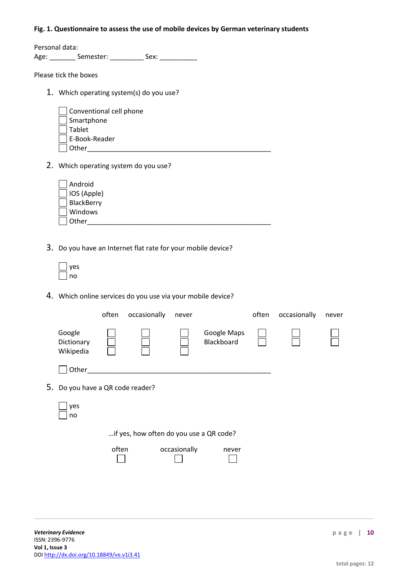#### **Fig. 1. Questionnaire to assess the use of mobile devices by German veterinary students**

Personal data: Age: \_\_\_\_\_\_\_\_\_ Semester: \_\_\_\_\_\_\_\_\_\_ Sex: \_\_\_\_\_\_\_\_\_\_\_

Please tick the boxes

1. Which operating system(s) do you use?

| $\vert$ Conventional cell phone |  |
|---------------------------------|--|
| Smartphone                      |  |
| Tablet                          |  |
| E-Book-Reader                   |  |
| . Other                         |  |

2. Which operating system do you use?

| Android              |  |  |
|----------------------|--|--|
| $\cceil$ IOS (Apple) |  |  |
| BlackBerry           |  |  |
| Windows              |  |  |
| Other                |  |  |

3. Do you have an Internet flat rate for your mobile device?

| c |
|---|

4. Which online services do you use via your mobile device?

|                                         |                                   | often | occasionally | never        |                           | often | occasionally | never |
|-----------------------------------------|-----------------------------------|-------|--------------|--------------|---------------------------|-------|--------------|-------|
|                                         | Google<br>Dictionary<br>Wikipedia |       |              |              | Google Maps<br>Blackboard |       |              |       |
|                                         | Other                             |       |              |              |                           |       |              |       |
| 5. Do you have a QR code reader?        |                                   |       |              |              |                           |       |              |       |
|                                         | yes<br>no                         |       |              |              |                           |       |              |       |
| if yes, how often do you use a QR code? |                                   |       |              |              |                           |       |              |       |
|                                         |                                   | often |              | occasionally | never                     |       |              |       |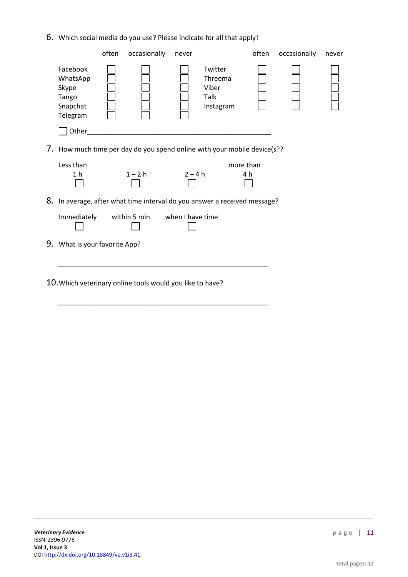6. Which social media do you use? Please indicate for all that apply!

|                                                                | often | occasionally                                              | never            |                                                                           | often            | occasionally | never |
|----------------------------------------------------------------|-------|-----------------------------------------------------------|------------------|---------------------------------------------------------------------------|------------------|--------------|-------|
| Facebook<br>WhatsApp<br>Skype<br>Tango<br>Snapchat<br>Telegram |       |                                                           |                  | Twitter<br>Threema<br>Viber<br>Talk<br>Instagram                          |                  |              |       |
| Other                                                          |       |                                                           |                  |                                                                           |                  |              |       |
|                                                                |       |                                                           |                  | 7. How much time per day do you spend online with your mobile device(s??  |                  |              |       |
| Less than<br>1 h                                               |       | $1 - 2h$                                                  | $2 - 4 h$        |                                                                           | more than<br>4 h |              |       |
|                                                                |       |                                                           |                  | 8. In average, after what time interval do you answer a received message? |                  |              |       |
| Immediately                                                    |       | within 5 min                                              | when I have time |                                                                           |                  |              |       |
| 9. What is your favorite App?                                  |       |                                                           |                  |                                                                           |                  |              |       |
|                                                                |       |                                                           |                  |                                                                           |                  |              |       |
|                                                                |       | 10. Which veterinary online tools would you like to have? |                  |                                                                           |                  |              |       |

\_\_\_\_\_\_\_\_\_\_\_\_\_\_\_\_\_\_\_\_\_\_\_\_\_\_\_\_\_\_\_\_\_\_\_\_\_\_\_\_\_\_\_\_\_\_\_\_\_\_\_\_\_\_\_\_